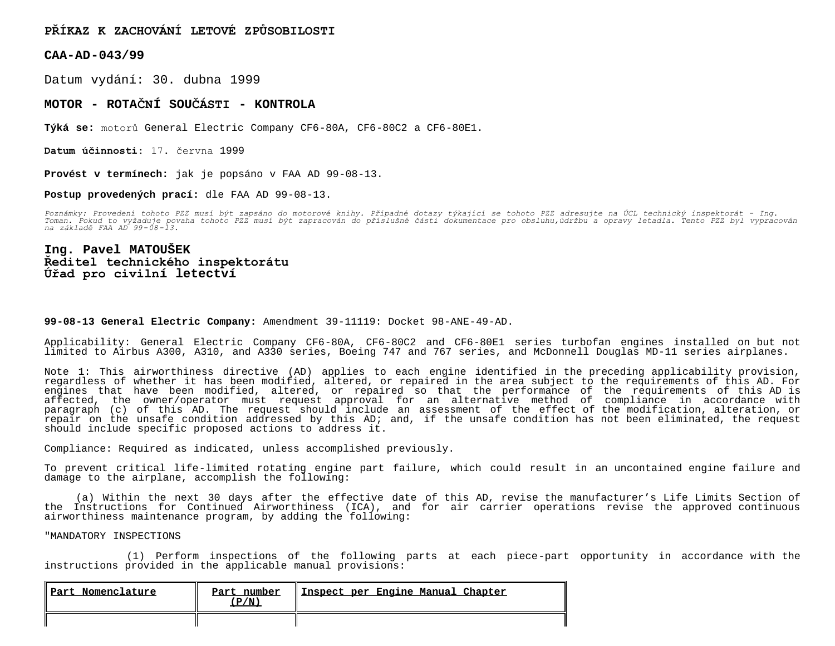## **PŘÍKAZ K ZACHOVÁNÍ LETOVÉ ZPŮSOBILOSTI**

**CAA-AD-043/99**

Datum vydání: 30. dubna 1999

## **MOTOR - ROTAČNÍ SOUČÁSTI - KONTROLA**

**Týká se:** motorů General Electric Company CF6-80A, CF6-80C2 a CF6-80E1.

**Datum účinnosti:** 17. června 1999

**Provést v termínech:** jak je popsáno v FAA AD 99-08-13.

**Postup provedených prací:** dle FAA AD 99-08-13.

Poznámky: Provedení tohoto PZZ musí být zapsáno do motorové knihy. Případné dotazy týkající se tohoto PZZ adresujte na ÚCL technický inspektorát – Ing.<br>Toman. Pokud to vyžaduje povaha tohoto PZZ musí být zapracován do přís

## **Ing. Pavel MATOUŠEK Ředitel technického inspektorátu Úřad pro civilní letectví**

## **99-08-13 General Electric Company:** Amendment 39-11119: Docket 98-ANE-49-AD.

Applicability: General Electric Company CF6-80A, CF6-80C2 and CF6-80E1 series turbofan engines installed on but not limited to Airbus A300, A310, and A330 series, Boeing 747 and 767 series, and McDonnell Douglas MD-11 series airplanes.

Note 1: This airworthiness directive (AD) applies to each engine identified in the preceding applicability provision, regardless of whether it has been modified, altered, or repaired in the area subject to the requirements of this AD. For engines that have been modified, altered, or repaired so that the performance of the requirements of this AD is affected, the owner/operator must request approval for an alternative method of compliance in accordance with paragraph (c) of this AD. The request should include an assessment of the effect of the modification, alteration, or repair on the unsafe condition addressed by this AD; and, if the unsafe condition has not been eliminated, the request should include specific proposed actions to address it.

Compliance: Required as indicated, unless accomplished previously.

To prevent critical life-limited rotating engine part failure, which could result in an uncontained engine failure and damage to the airplane, accomplish the following:

 (a) Within the next 30 days after the effective date of this AD, revise the manufacturer's Life Limits Section of the Instructions for Continued Airworthiness (ICA), and for air carrier operations revise the approved continuous airworthiness maintenance program, by adding the following:

"MANDATORY INSPECTIONS

 (1) Perform inspections of the following parts at each piece-part opportunity in accordance with the instructions provided in the applicable manual provisions:

| Part Nomenclature | Part number<br>(P/N) | Inspect per Engine Manual Chapter |
|-------------------|----------------------|-----------------------------------|
|                   |                      |                                   |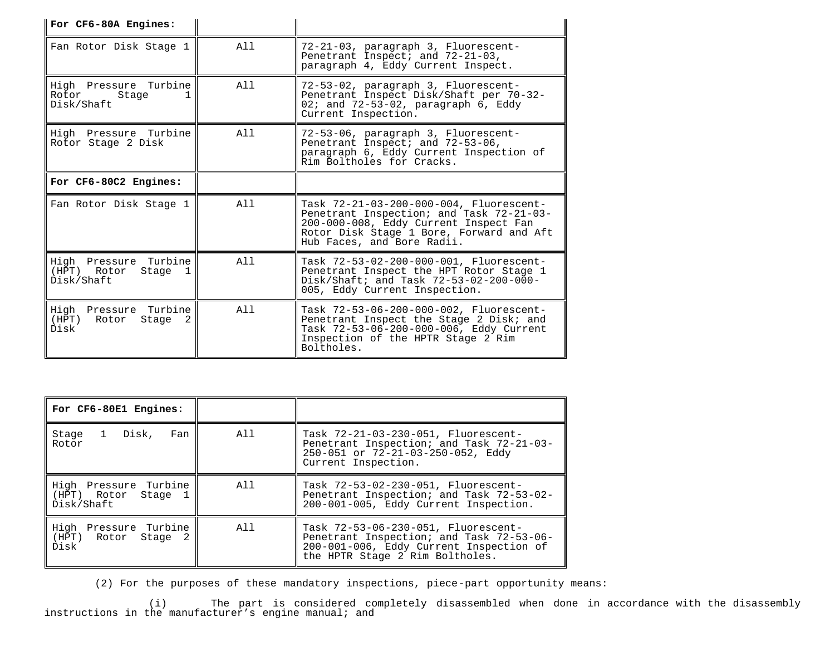| For CF6-80A Engines:                                                |                |                                                                                                                                                                                                        |
|---------------------------------------------------------------------|----------------|--------------------------------------------------------------------------------------------------------------------------------------------------------------------------------------------------------|
| Fan Rotor Disk Stage 1                                              | A <sub>1</sub> | 72-21-03, paragraph 3, Fluorescent-<br>Penetrant Inspect; and 72-21-03,<br>paragraph 4, Eddy Current Inspect.                                                                                          |
| High Pressure Turbine<br>Rotor<br>Stage<br>Disk/Shaft               | All            | 72-53-02, paragraph 3, Fluorescent-<br>Penetrant Inspect Disk/Shaft per 70-32-<br>02; and $72-53-02$ , paragraph $6$ , Eddy<br>Current Inspection.                                                     |
| High Pressure Turbine<br>Rotor Stage 2 Disk                         | All            | 72-53-06, paragraph 3, Fluorescent-<br>Penetrant Inspect; and 72-53-06,<br>paragraph 6, Eddy Current Inspection of<br>Rim Boltholes for Cracks.                                                        |
| For CF6-80C2 Engines:                                               |                |                                                                                                                                                                                                        |
| Fan Rotor Disk Stage 1                                              | A11            | Task 72-21-03-200-000-004, Fluorescent-<br>Penetrant Inspection; and Task 72-21-03-<br>200-000-008, Eddy Current Inspect Fan<br>Rotor Disk Stage 1 Bore, Forward and Aft<br>Hub Faces, and Bore Radii. |
| High Pressure Turbine<br>(HPT) Rotor<br>Stage 1<br>Disk/Shaft       | All            | Task 72-53-02-200-000-001, Fluorescent-<br>Penetrant Inspect the HPT Rotor Stage 1<br>$Disk/Shift: and Task 72-53-02-200-000-$<br>005, Eddy Current Inspection.                                        |
| Turbine<br>High<br>Pressure<br>(HPT)<br>Rotor<br>Stage<br>2<br>Disk | A11            | Task 72-53-06-200-000-002, Fluorescent-<br>Penetrant Inspect the Stage 2 Disk; and<br>Task 72-53-06-200-000-006, Eddy Current<br>Inspection of the HPTR Stage 2 Rim<br>Boltholes.                      |

| For CF6-80E1 Engines:                                      |     |                                                                                                                                                               |
|------------------------------------------------------------|-----|---------------------------------------------------------------------------------------------------------------------------------------------------------------|
| 1 Disk, Fan<br>Stage<br>Rotor                              | All | Task 72-21-03-230-051, Fluorescent-<br>Penetrant Inspection; and Task 72-21-03-<br>250-051 or 72-21-03-250-052, Eddy<br>Current Inspection.                   |
| High Pressure Turbine<br>(HPT) Rotor Stage 1<br>Disk/Shaft | All | Task 72-53-02-230-051, Fluorescent-<br>Penetrant Inspection; and Task 72-53-02-<br>200-001-005, Eddy Current Inspection.                                      |
| High Pressure Turbine<br>(HPT) Rotor Stage<br>- 2<br>Disk  | All | Task 72-53-06-230-051, Fluorescent-<br>Penetrant Inspection; and Task 72-53-06-<br>200-001-006, Eddy Current Inspection of<br>the HPTR Stage 2 Rim Boltholes. |

(2) For the purposes of these mandatory inspections, piece-part opportunity means:

 (i) The part is considered completely disassembled when done in accordance with the disassembly instructions in the manufacturer's engine manual; and